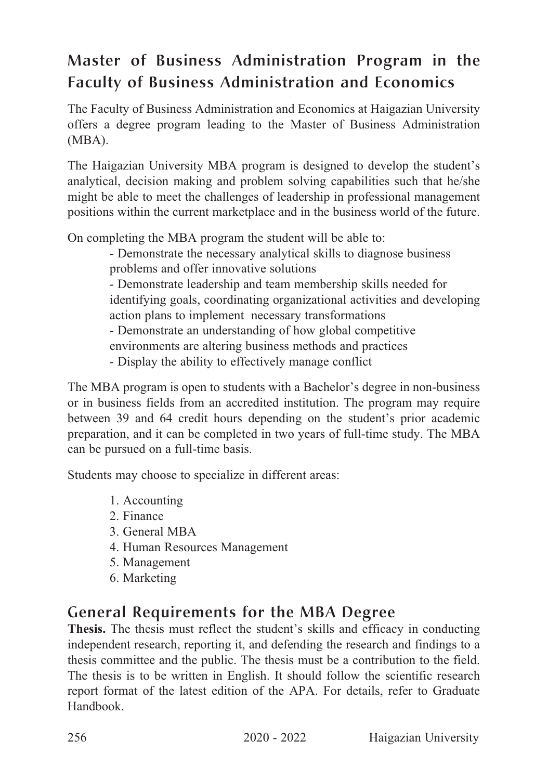## Master of Business Administration Program in the Faculty of Business Administration and Economics

The Faculty of Business Administration and Economics at Haigazian University offers a degree program leading to the Master of Business Administration (MBA).

The Haigazian University MBA program is designed to develop the student's analytical, decision making and problem solving capabilities such that he/she might be able to meet the challenges of leadership in professional management positions within the current marketplace and in the business world of the future.

On completing the MBA program the student will be able to:

- Demonstrate the necessary analytical skills to diagnose business problems and offer innovative solutions

- Demonstrate leadership and team membership skills needed for identifying goals, coordinating organizational activities and developing action plans to implement necessary transformations

- Demonstrate an understanding of how global competitive

environments are altering business methods and practices

- Display the ability to effectively manage conflict

The MBA program is open to students with a Bachelor's degree in non-business or in business fields from an accredited institution. The program may require between 39 and 64 credit hours depending on the student's prior academic preparation, and it can be completed in two years of full-time study. The MBA can be pursued on a full-time basis.

Students may choose to specialize in different areas:

- 1. Accounting
- 2. Finance
- 3. General MBA
- 4. Human Resources Management
- 5. Management
- 6. Marketing

## General Requirements for the MBA Degree

**Thesis.** The thesis must reflect the student's skills and efficacy in conducting independent research, reporting it, and defending the research and findings to a thesis committee and the public. The thesis must be a contribution to the field. The thesis is to be written in English. It should follow the scientific research report format of the latest edition of the APA. For details, refer to Graduate Handbook.